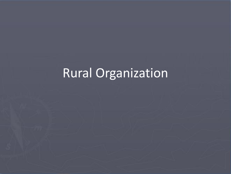# Rural Organization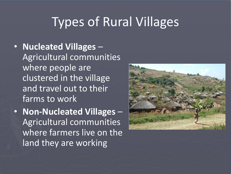## Types of Rural Villages

• **Nucleated Villages** – Agricultural communities where people are clustered in the village and travel out to their farms to work

• **Non-Nucleated Villages** – Agricultural communities where farmers live on the land they are working

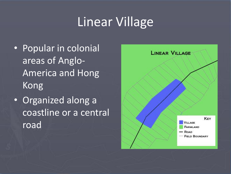## Linear Village

- Popular in colonial areas of Anglo-America and Hong Kong
- Organized along a coastline or a central road

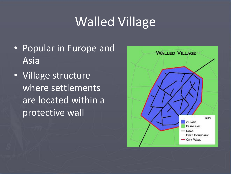# Walled Village

- Popular in Europe and Asia
- Village structure where settlements are located within a protective wall

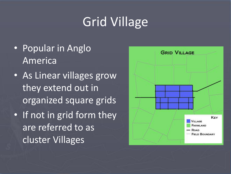# Grid Village

- Popular in Anglo America
- As Linear villages grow they extend out in organized square grids
- If not in grid form they are referred to as cluster Villages

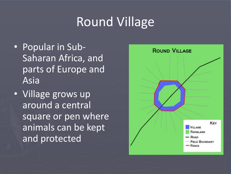## Round Village

- Popular in Sub-Saharan Africa, and parts of Europe and Asia
- Village grows up around a central square or pen where animals can be kept and protected

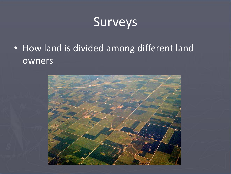### Surveys

• How land is divided among different land owners

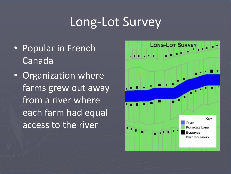### Long-Lot Survey

- Popular in French Canada
- Organization where farms grew out away from a river where each farm had equal access to the river

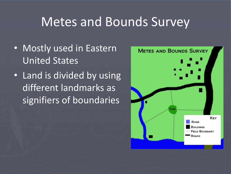### Metes and Bounds Survey

- Mostly used in Eastern United States
- Land is divided by using different landmarks as signifiers of boundaries

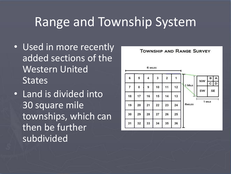## Range and Township System

- Used in more recently added sections of the Western United **States**
- Land is divided into 30 square mile townships, which can then be further subdivided

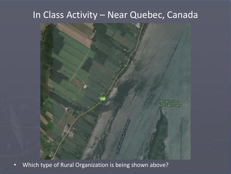#### In Class Activity – Near Quebec, Canada



• Which type of Rural Organization is being shown above?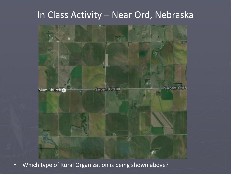#### In Class Activity – Near Ord, Nebraska



• Which type of Rural Organization is being shown above?